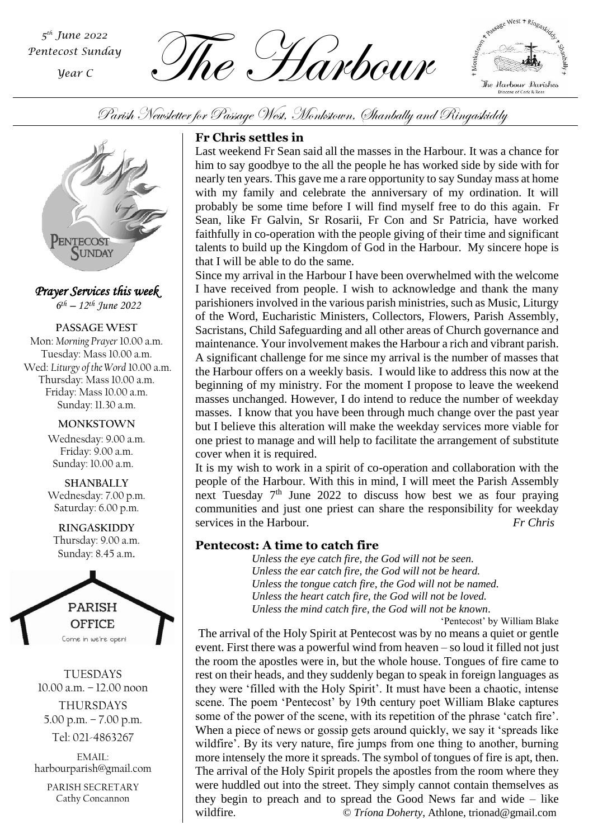*th June 2022 Pentecost Sunday*

*Year C*

The Harbour *<sup>5</sup>*



Parish Newsletter for Passage West, Monkstown, Shanbally and Ringaskiddy



*Prayer Services this week* 

*6 th – 12th June 2022*

**PASSAGE WEST** Mon: *Morning Prayer* 10.00 a.m. Tuesday: Mass 10.00 a.m. Wed: *Liturgy of the Word* 10.00 a.m. Thursday: Mass 10.00 a.m. Friday: Mass 10.00 a.m. Sunday: 11.30 a.m.

> **MONKSTOWN** Wednesday: 9.00 a.m. Friday: 9.00 a.m. Sunday: 10.00 a.m.

> **SHANBALLY** Wednesday: 7.00 p.m. Saturday: 6.00 p.m.

**RINGASKIDDY** Thursday: 9.00 a.m. Sunday: 8.45 a.m.



TUESDAYS 10.00 a.m. – 12.00 noon THURSDAYS 5.00 p.m. – 7.00 p.m.

Tel: 021-4863267

EMAIL: harbourparish@gmail.com

PARISH SECRETARY Cathy Concannon

### **Fr Chris settles in**

Last weekend Fr Sean said all the masses in the Harbour. It was a chance for him to say goodbye to the all the people he has worked side by side with for nearly ten years. This gave me a rare opportunity to say Sunday mass at home with my family and celebrate the anniversary of my ordination. It will probably be some time before I will find myself free to do this again. Fr Sean, like Fr Galvin, Sr Rosarii, Fr Con and Sr Patricia, have worked faithfully in co-operation with the people giving of their time and significant talents to build up the Kingdom of God in the Harbour. My sincere hope is that I will be able to do the same.

Since my arrival in the Harbour I have been overwhelmed with the welcome I have received from people. I wish to acknowledge and thank the many parishioners involved in the various parish ministries, such as Music, Liturgy of the Word, Eucharistic Ministers, Collectors, Flowers, Parish Assembly, Sacristans, Child Safeguarding and all other areas of Church governance and maintenance. Your involvement makes the Harbour a rich and vibrant parish. A significant challenge for me since my arrival is the number of masses that the Harbour offers on a weekly basis. I would like to address this now at the beginning of my ministry. For the moment I propose to leave the weekend masses unchanged. However, I do intend to reduce the number of weekday masses. I know that you have been through much change over the past year but I believe this alteration will make the weekday services more viable for one priest to manage and will help to facilitate the arrangement of substitute cover when it is required.

*Parish Assembly* communities and just one priest can share the responsibility for weekday It is my wish to work in a spirit of co-operation and collaboration with the people of the Harbour. With this in mind, I will meet the Parish Assembly next Tuesday 7<sup>th</sup> June 2022 to discuss how best we as four praying services in the Harbour. The *Fr Chris* 

### **Pentecost: A time to catch fire**

*Unless the eye catch fire, the God will not be seen. Unless the ear catch fire, the God will not be heard. Unless the tongue catch fire, the God will not be named. Unless the heart catch fire, the God will not be loved. Unless the mind catch fire, the God will not be known*.

'Pentecost' by William Blake

The arrival of the Holy Spirit at Pentecost was by no means a quiet or gentle event. First there was a powerful wind from heaven – so loud it filled not just the room the apostles were in, but the whole house. Tongues of fire came to rest on their heads, and they suddenly began to speak in foreign languages as they were 'filled with the Holy Spirit'. It must have been a chaotic, intense scene. The poem 'Pentecost' by 19th century poet William Blake captures some of the power of the scene, with its repetition of the phrase 'catch fire'. When a piece of news or gossip gets around quickly, we say it 'spreads like wildfire'. By its very nature, fire jumps from one thing to another, burning more intensely the more it spreads. The symbol of tongues of fire is apt, then. The arrival of the Holy Spirit propels the apostles from the room where they were huddled out into the street. They simply cannot contain themselves as they begin to preach and to spread the Good News far and wide – like wildfire.  $\bullet$  *Tríona Doherty*, Athlone, trionad@gmail.com